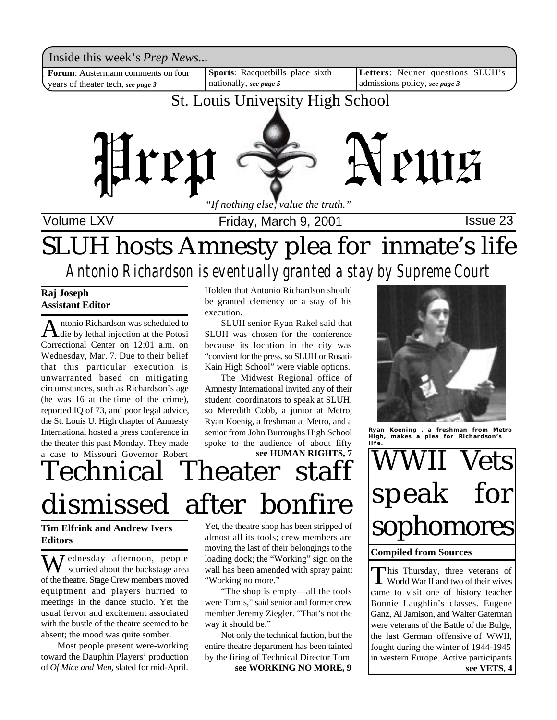Inside this week's *Prep News*...<br>Forum: Austermann comments on four | Sports: Racquetbills place sixth | Letters: Neuner questions SLUH's Inside this week's *Prep News*...

years of theater tech, *see page 3*

**Sports**: Racquetbills place sixth nationally, *see page 5*

**Letters**: Neuner questions SLUH's admissions policy, *see page 3*

# St. Louis University High School



Volume LXV **Internal Contract Friday, March 9, 2001 Issue 23** 

# SLUH hosts Amnesty plea for inmate's life *Antonio Richardson is eventually granted a stay by Supreme Court*

### **Raj Joseph Assistant Editor**

Antonio Richardson was scheduled to<br>die by lethal injection at the Potosi ntonio Richardson was scheduled to Correctional Center on 12:01 a.m. on Wednesday, Mar. 7. Due to their belief that this particular execution is unwarranted based on mitigating circumstances, such as Richardson's age (he was 16 at the time of the crime), reported IQ of 73, and poor legal advice, the St. Louis U. High chapter of Amnesty International hosted a press conference in the theater this past Monday. They made a case to Missouri Governor Robert Holden that Antonio Richardson should be granted clemency or a stay of his execution.

SLUH senior Ryan Rakel said that SLUH was chosen for the conference because its location in the city was "convient for the press, so SLUH or Rosati-Kain High School" were viable options.

The Midwest Regional office of Amnesty International invited any of their student coordinators to speak at SLUH, so Meredith Cobb, a junior at Metro, Ryan Koenig, a freshman at Metro, and a senior from John Burroughs High School spoke to the audience of about fifty **see HUMAN RIGHTS, 7**

# Technical Theater staff dismissed after bonfire

**Tim Elfrink and Andrew Ivers Editors**

ednesday afternoon, people scurried about the backstage area of the theatre. Stage Crew members moved equiptment and players hurried to meetings in the dance studio. Yet the usual fervor and excitement associated with the bustle of the theatre seemed to be absent; the mood was quite somber.

Most people present were-working toward the Dauphin Players' production of *Of Mice and Men*, slated for mid-April.

Yet, the theatre shop has been stripped of almost all its tools; crew members are moving the last of their belongings to the loading dock; the "Working" sign on the wall has been amended with spray paint: "Working no more."

"The shop is empty—all the tools were Tom's," said senior and former crew member Jeremy Ziegler. "That's not the way it should be."

Not only the technical faction, but the entire theatre department has been tainted by the firing of Technical Director Tom **see WORKING NO MORE, 9**



**Ryan Koening , a freshman from Metro High, makes a plea for Richardson's life.**

# 'ets speak for sophomores

#### **Compiled from Sources**

This Thursday, three veterans of<br>World War II and two of their wives his Thursday, three veterans of came to visit one of history teacher Bonnie Laughlin's classes. Eugene Ganz, Al Jamison, and Walter Gaterman were veterans of the Battle of the Bulge, the last German offensive of WWII, fought during the winter of 1944-1945 in western Europe. Active participants **see VETS, 4**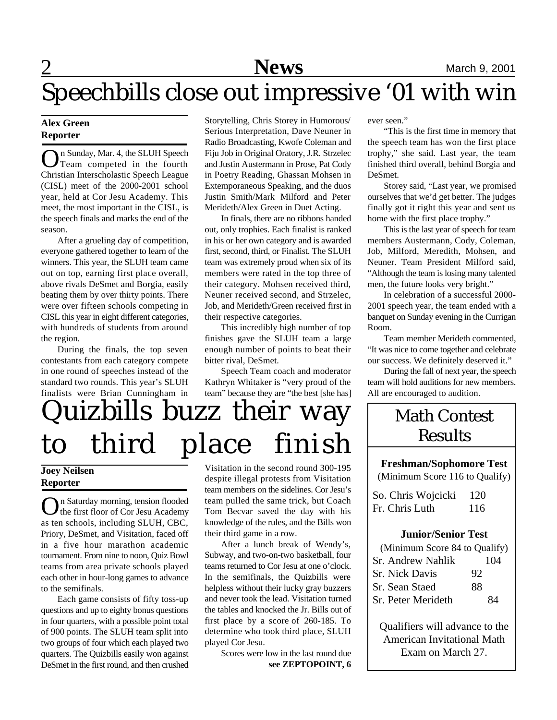# Speechbills close out impressive '01 with win

### **Alex Green Reporter**

On Sunday, Mar. 4, the SLUH Speech<br>Team competed in the fourth Team competed in the fourth Christian Interscholastic Speech League (CISL) meet of the 2000-2001 school year, held at Cor Jesu Academy. This meet, the most important in the CISL, is the speech finals and marks the end of the season.

After a grueling day of competition, everyone gathered together to learn of the winners. This year, the SLUH team came out on top, earning first place overall, above rivals DeSmet and Borgia, easily beating them by over thirty points. There were over fifteen schools competing in CISL this year in eight different categories, with hundreds of students from around the region.

During the finals, the top seven contestants from each category compete in one round of speeches instead of the standard two rounds. This year's SLUH finalists were Brian Cunningham in Storytelling, Chris Storey in Humorous/ Serious Interpretation, Dave Neuner in Radio Broadcasting, Kwofe Coleman and Fiju Job in Original Oratory, J.R. Strzelec and Justin Austermann in Prose, Pat Cody in Poetry Reading, Ghassan Mohsen in Extemporaneous Speaking, and the duos Justin Smith/Mark Milford and Peter Merideth/Alex Green in Duet Acting.

In finals, there are no ribbons handed out, only trophies. Each finalist is ranked in his or her own category and is awarded first, second, third, or Finalist. The SLUH team was extremely proud when six of its members were rated in the top three of their category. Mohsen received third, Neuner received second, and Strzelec, Job, and Merideth/Green received first in their respective categories.

This incredibly high number of top finishes gave the SLUH team a large enough number of points to beat their bitter rival, DeSmet.

Speech Team coach and moderator Kathryn Whitaker is "very proud of the team" because they are "the best [she has]

# Quizbills buzz their way to third place finish

## **Joey Neilsen Reporter**

 $\bigodot$ n Saturday morning, tension flooded<br>the first floor of Cor Jesu Academy n Saturday morning, tension flooded as ten schools, including SLUH, CBC, Priory, DeSmet, and Visitation, faced off in a five hour marathon academic tournament. From nine to noon, Quiz Bowl teams from area private schools played each other in hour-long games to advance to the semifinals.

Each game consists of fifty toss-up questions and up to eighty bonus questions in four quarters, with a possible point total of 900 points. The SLUH team split into two groups of four which each played two quarters. The Quizbills easily won against DeSmet in the first round, and then crushed

Visitation in the second round 300-195 despite illegal protests from Visitation team members on the sidelines. Cor Jesu's team pulled the same trick, but Coach Tom Becvar saved the day with his knowledge of the rules, and the Bills won their third game in a row.

After a lunch break of Wendy's, Subway, and two-on-two basketball, four teams returned to Cor Jesu at one o'clock. In the semifinals, the Quizbills were helpless without their lucky gray buzzers and never took the lead. Visitation turned the tables and knocked the Jr. Bills out of first place by a score of 260-185. To determine who took third place, SLUH played Cor Jesu.

Scores were low in the last round due **see ZEPTOPOINT, 6** ever seen."

"This is the first time in memory that the speech team has won the first place trophy," she said. Last year, the team finished third overall, behind Borgia and DeSmet.

Storey said, "Last year, we promised ourselves that we'd get better. The judges finally got it right this year and sent us home with the first place trophy."

This is the last year of speech for team members Austermann, Cody, Coleman, Job, Milford, Meredith, Mohsen, and Neuner. Team President Milford said, "Although the team is losing many talented men, the future looks very bright."

In celebration of a successful 2000- 2001 speech year, the team ended with a banquet on Sunday evening in the Currigan Room.

Team member Merideth commented, "It was nice to come together and celebrate our success. We definitely deserved it."

During the fall of next year, the speech team will hold auditions for new members. All are encouraged to audition.

# Math Contest **Results**

**Freshman/Sophomore Test** (Minimum Score 116 to Qualify)

So. Chris Wojcicki 120 Fr. Chris Luth 116

### **Junior/Senior Test**

| (Minimum Score 84 to Qualify) |     |
|-------------------------------|-----|
| Sr. Andrew Nahlik             | 104 |
| <b>Sr. Nick Davis</b>         | 92  |
| Sr. Sean Staed                | 88  |
| Sr. Peter Merideth            | 84  |
|                               |     |

Qualifiers will advance to the American Invitational Math Exam on March 27.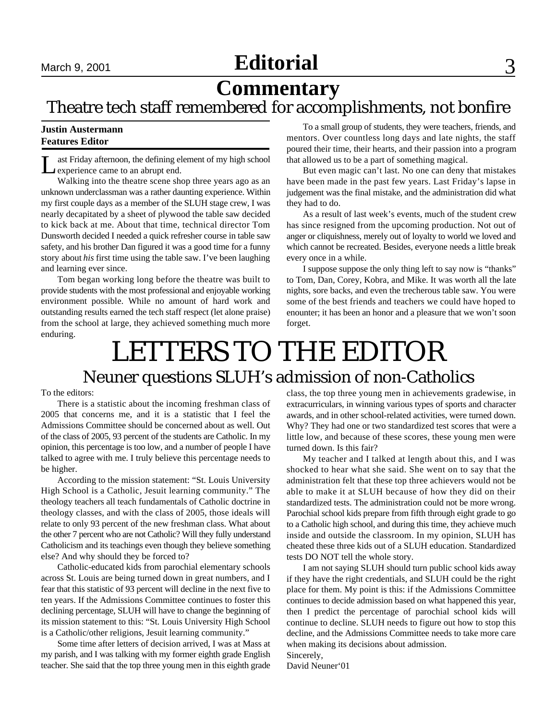# **Editorial** September 15, 2001 September 2001 September 33, 2001 September 33, 2001 September 33, 2001 September 34, 2001 September 34, 2001 September 34, 2001 September 34, 2001 September 34, 2001 September 34, 2001 Septe

# **Commentary**

# Theatre tech staff remembered for accomplishments, not bonfire

#### **Justin Austermann Features Editor**

L ast Friday afternoon, the defining element of my high school experience came to an abrupt end.

Walking into the theatre scene shop three years ago as an unknown underclassman was a rather daunting experience. Within my first couple days as a member of the SLUH stage crew, I was nearly decapitated by a sheet of plywood the table saw decided to kick back at me. About that time, technical director Tom Dunsworth decided I needed a quick refresher course in table saw safety, and his brother Dan figured it was a good time for a funny story about *his* first time using the table saw. I've been laughing and learning ever since.

Tom began working long before the theatre was built to provide students with the most professional and enjoyable working environment possible. While no amount of hard work and outstanding results earned the tech staff respect (let alone praise) from the school at large, they achieved something much more enduring.

To a small group of students, they were teachers, friends, and mentors. Over countless long days and late nights, the staff poured their time, their hearts, and their passion into a program that allowed us to be a part of something magical.

But even magic can't last. No one can deny that mistakes have been made in the past few years. Last Friday's lapse in judgement was the final mistake, and the administration did what they had to do.

As a result of last week's events, much of the student crew has since resigned from the upcoming production. Not out of anger or cliquishness, merely out of loyalty to world we loved and which cannot be recreated. Besides, everyone needs a little break every once in a while.

I suppose suppose the only thing left to say now is "thanks" to Tom, Dan, Corey, Kobra, and Mike. It was worth all the late nights, sore backs, and even the trecherous table saw. You were some of the best friends and teachers we could have hoped to enounter; it has been an honor and a pleasure that we won't soon forget.

# Neuner questions SLUH's admission of non-Catholics LETTERS TO THE EDITOR

#### To the editors:

There is a statistic about the incoming freshman class of 2005 that concerns me, and it is a statistic that I feel the Admissions Committee should be concerned about as well. Out of the class of 2005, 93 percent of the students are Catholic. In my opinion, this percentage is too low, and a number of people I have talked to agree with me. I truly believe this percentage needs to be higher.

According to the mission statement: "St. Louis University High School is a Catholic, Jesuit learning community." The theology teachers all teach fundamentals of Catholic doctrine in theology classes, and with the class of 2005, those ideals will relate to only 93 percent of the new freshman class. What about the other 7 percent who are not Catholic? Will they fully understand Catholicism and its teachings even though they believe something else? And why should they be forced to?

Catholic-educated kids from parochial elementary schools across St. Louis are being turned down in great numbers, and I fear that this statistic of 93 percent will decline in the next five to ten years. If the Admissions Committee continues to foster this declining percentage, SLUH will have to change the beginning of its mission statement to this: "St. Louis University High School is a Catholic/other religions, Jesuit learning community."

Some time after letters of decision arrived, I was at Mass at my parish, and I was talking with my former eighth grade English teacher. She said that the top three young men in this eighth grade

class, the top three young men in achievements gradewise, in extracurriculars, in winning various types of sports and character awards, and in other school-related activities, were turned down. Why? They had one or two standardized test scores that were a little low, and because of these scores, these young men were turned down. Is this fair?

My teacher and I talked at length about this, and I was shocked to hear what she said. She went on to say that the administration felt that these top three achievers would not be able to make it at SLUH because of how they did on their standardized tests. The administration could not be more wrong. Parochial school kids prepare from fifth through eight grade to go to a Catholic high school, and during this time, they achieve much inside and outside the classroom. In my opinion, SLUH has cheated these three kids out of a SLUH education. Standardized tests DO NOT tell the whole story.

I am not saying SLUH should turn public school kids away if they have the right credentials, and SLUH could be the right place for them. My point is this: if the Admissions Committee continues to decide admission based on what happened this year, then I predict the percentage of parochial school kids will continue to decline. SLUH needs to figure out how to stop this decline, and the Admissions Committee needs to take more care when making its decisions about admission. Sincerely,

David Neuner'01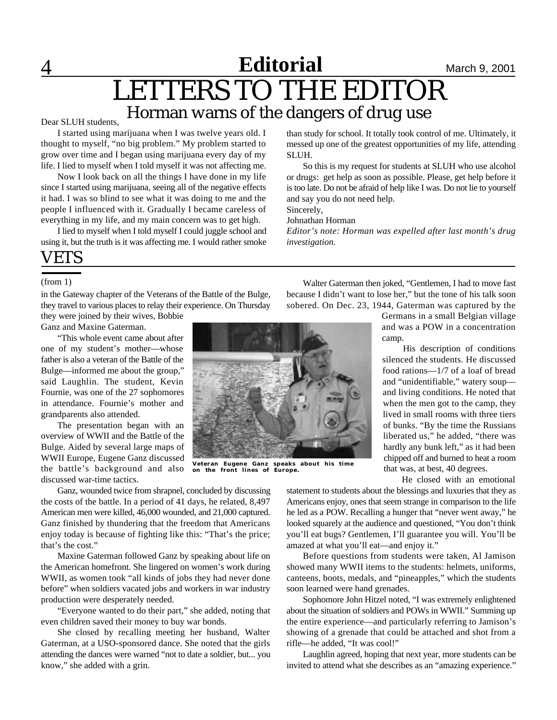**4 Californial March 9, 2001** 

# LETTERS TO THE EDITOR Horman warns of the dangers of drug use

#### Dear SLUH students,

I started using marijuana when I was twelve years old. I thought to myself, "no big problem." My problem started to grow over time and I began using marijuana every day of my life. I lied to myself when I told myself it was not affecting me.

Now I look back on all the things I have done in my life since I started using marijuana, seeing all of the negative effects it had. I was so blind to see what it was doing to me and the people I influenced with it. Gradually I became careless of everything in my life, and my main concern was to get high.

I lied to myself when I told myself I could juggle school and using it, but the truth is it was affecting me. I would rather smoke

# VETS

(from 1)

in the Gateway chapter of the Veterans of the Battle of the Bulge, they travel to various places to relay their experience. On Thursday they were joined by their wives, Bobbie

Ganz and Maxine Gaterman.

"This whole event came about after one of my student's mother—whose father is also a veteran of the Battle of the Bulge—informed me about the group," said Laughlin. The student, Kevin Fournie, was one of the 27 sophomores in attendance. Fournie's mother and grandparents also attended.

The presentation began with an overview of WWII and the Battle of the Bulge. Aided by several large maps of WWII Europe, Eugene Ganz discussed the battle's background and also discussed war-time tactics.

Ganz, wounded twice from shrapnel, concluded by discussing the costs of the battle. In a period of 41 days, he related, 8,497 American men were killed, 46,000 wounded, and 21,000 captured. Ganz finished by thundering that the freedom that Americans enjoy today is because of fighting like this: "That's the price; that's the cost."

Maxine Gaterman followed Ganz by speaking about life on the American homefront. She lingered on women's work during WWII, as women took "all kinds of jobs they had never done before" when soldiers vacated jobs and workers in war industry production were desperately needed.

"Everyone wanted to do their part," she added, noting that even children saved their money to buy war bonds.

She closed by recalling meeting her husband, Walter Gaterman, at a USO-sponsored dance. She noted that the girls attending the dances were warned "not to date a soldier, but... you know," she added with a grin.

than study for school. It totally took control of me. Ultimately, it messed up one of the greatest opportunities of my life, attending SLUH.

So this is my request for students at SLUH who use alcohol or drugs: get help as soon as possible. Please, get help before it is too late. Do not be afraid of help like I was. Do not lie to yourself and say you do not need help.

Sincerely,

Johnathan Horman

*Editor's note: Horman was expelled after last month's drug investigation.*

**Veteran Eugene Ganz speaks about his time on the front lines of Europe.**

Walter Gaterman then joked, "Gentlemen, I had to move fast because I didn't want to lose her," but the tone of his talk soon sobered. On Dec. 23, 1944, Gaterman was captured by the

Germans in a small Belgian village and was a POW in a concentration camp.

His description of conditions silenced the students. He discussed food rations—1/7 of a loaf of bread and "unidentifiable," watery soup and living conditions. He noted that when the men got to the camp, they lived in small rooms with three tiers of bunks. "By the time the Russians liberated us," he added, "there was hardly any bunk left," as it had been chipped off and burned to heat a room that was, at best, 40 degrees.

He closed with an emotional

statement to students about the blessings and luxuries that they as Americans enjoy, ones that seem strange in comparison to the life he led as a POW. Recalling a hunger that "never went away," he looked squarely at the audience and questioned, "You don't think you'll eat bugs? Gentlemen, I'll guarantee you will. You'll be amazed at what you'll eat—and enjoy it."

Before questions from students were taken, Al Jamison showed many WWII items to the students: helmets, uniforms, canteens, boots, medals, and "pineapples," which the students soon learned were hand grenades.

Sophomore John Hitzel noted, "I was extremely enlightened about the situation of soldiers and POWs in WWII." Summing up the entire experience—and particularly referring to Jamison's showing of a grenade that could be attached and shot from a rifle—he added, "It was cool!"

Laughlin agreed, hoping that next year, more students can be invited to attend what she describes as an "amazing experience."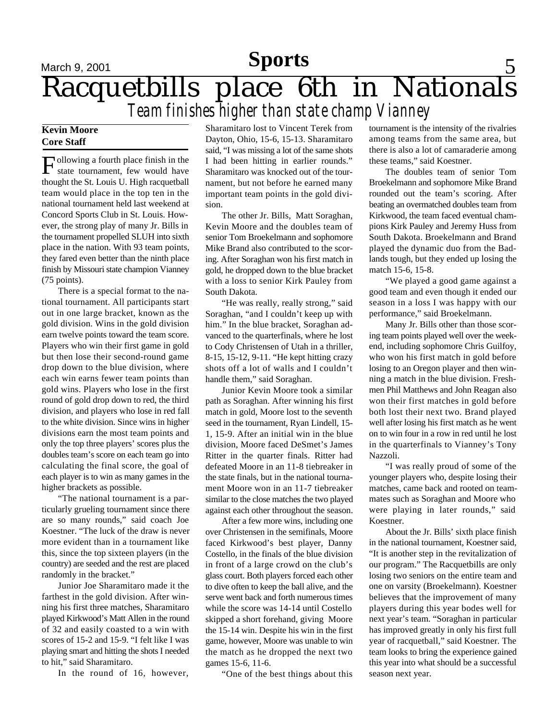# **Sports** 5, 2001 **Sports** 5 Racquetbills place 6th in Nationals *Team finishes higher than state champ Vianney* **Sports**

### **Kevin Moore Core Staff**

Following a fourth place finish in the state tournament, few would have state tournament, few would have thought the St. Louis U. High racquetball team would place in the top ten in the national tournament held last weekend at Concord Sports Club in St. Louis. However, the strong play of many Jr. Bills in the tournament propelled SLUH into sixth place in the nation. With 93 team points, they fared even better than the ninth place finish by Missouri state champion Vianney (75 points).

There is a special format to the national tournament. All participants start out in one large bracket, known as the gold division. Wins in the gold division earn twelve points toward the team score. Players who win their first game in gold but then lose their second-round game drop down to the blue division, where each win earns fewer team points than gold wins. Players who lose in the first round of gold drop down to red, the third division, and players who lose in red fall to the white division. Since wins in higher divisions earn the most team points and only the top three players' scores plus the doubles team's score on each team go into calculating the final score, the goal of each player is to win as many games in the higher brackets as possible.

"The national tournament is a particularly grueling tournament since there are so many rounds," said coach Joe Koestner. "The luck of the draw is never more evident than in a tournament like this, since the top sixteen players (in the country) are seeded and the rest are placed randomly in the bracket."

Junior Joe Sharamitaro made it the farthest in the gold division. After winning his first three matches, Sharamitaro played Kirkwood's Matt Allen in the round of 32 and easily coasted to a win with scores of 15-2 and 15-9. "I felt like I was playing smart and hitting the shots I needed to hit," said Sharamitaro.

In the round of 16, however,

Sharamitaro lost to Vincent Terek from Dayton, Ohio, 15-6, 15-13. Sharamitaro said, "I was missing a lot of the same shots I had been hitting in earlier rounds." Sharamitaro was knocked out of the tournament, but not before he earned many important team points in the gold division.

The other Jr. Bills, Matt Soraghan, Kevin Moore and the doubles team of senior Tom Broekelmann and sophomore Mike Brand also contributed to the scoring. After Soraghan won his first match in gold, he dropped down to the blue bracket with a loss to senior Kirk Pauley from South Dakota.

"He was really, really strong," said Soraghan, "and I couldn't keep up with him." In the blue bracket, Soraghan advanced to the quarterfinals, where he lost to Cody Christensen of Utah in a thriller, 8-15, 15-12, 9-11. "He kept hitting crazy shots off a lot of walls and I couldn't handle them," said Soraghan.

Junior Kevin Moore took a similar path as Soraghan. After winning his first match in gold, Moore lost to the seventh seed in the tournament, Ryan Lindell, 15- 1, 15-9. After an initial win in the blue division, Moore faced DeSmet's James Ritter in the quarter finals. Ritter had defeated Moore in an 11-8 tiebreaker in the state finals, but in the national tournament Moore won in an 11-7 tiebreaker similar to the close matches the two played against each other throughout the season.

After a few more wins, including one over Christensen in the semifinals, Moore faced Kirkwood's best player, Danny Costello, in the finals of the blue division in front of a large crowd on the club's glass court. Both players forced each other to dive often to keep the ball alive, and the serve went back and forth numerous times while the score was 14-14 until Costello skipped a short forehand, giving Moore the 15-14 win. Despite his win in the first game, however, Moore was unable to win the match as he dropped the next two games 15-6, 11-6.

"One of the best things about this

tournament is the intensity of the rivalries among teams from the same area, but there is also a lot of camaraderie among these teams," said Koestner.

The doubles team of senior Tom Broekelmann and sophomore Mike Brand rounded out the team's scoring. After beating an overmatched doubles team from Kirkwood, the team faced eventual champions Kirk Pauley and Jeremy Huss from South Dakota. Broekelmann and Brand played the dynamic duo from the Badlands tough, but they ended up losing the match 15-6, 15-8.

"We played a good game against a good team and even though it ended our season in a loss I was happy with our performance," said Broekelmann.

Many Jr. Bills other than those scoring team points played well over the weekend, including sophomore Chris Guilfoy, who won his first match in gold before losing to an Oregon player and then winning a match in the blue division. Freshmen Phil Matthews and John Reagan also won their first matches in gold before both lost their next two. Brand played well after losing his first match as he went on to win four in a row in red until he lost in the quarterfinals to Vianney's Tony Nazzoli.

"I was really proud of some of the younger players who, despite losing their matches, came back and rooted on teammates such as Soraghan and Moore who were playing in later rounds," said Koestner.

About the Jr. Bills' sixth place finish in the national tournament, Koestner said, "It is another step in the revitalization of our program." The Racquetbills are only losing two seniors on the entire team and one on varsity (Broekelmann). Koestner believes that the improvement of many players during this year bodes well for next year's team. "Soraghan in particular has improved greatly in only his first full year of racquetball," said Koestner. The team looks to bring the experience gained this year into what should be a successful season next year.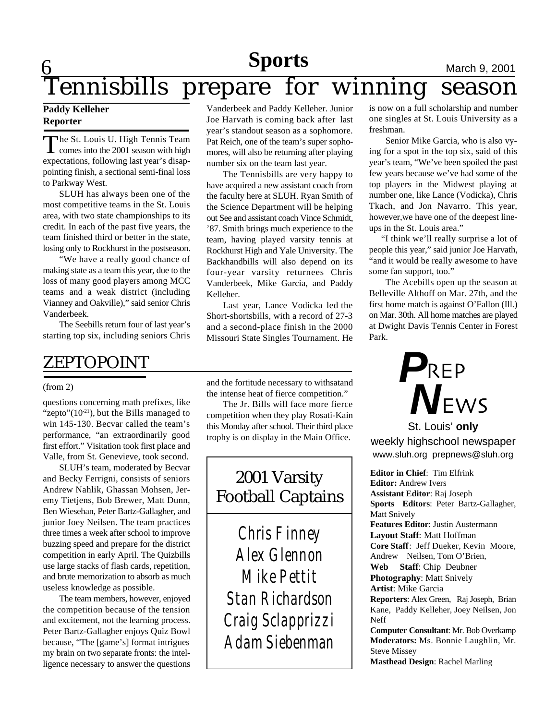# Tennisbills **Sports**<br> **PHORE March 9, 2001**<br> **PHORE WINNING SEASON** prepare for winning season

### **Paddy Kelleher Reporter**

The St. Louis U. High Tennis Team<br>comes into the 2001 season with high The St. Louis U. High Tennis Team expectations, following last year's disappointing finish, a sectional semi-final loss to Parkway West.

SLUH has always been one of the most competitive teams in the St. Louis area, with two state championships to its credit. In each of the past five years, the team finished third or better in the state, losing only to Rockhurst in the postseason.

"We have a really good chance of making state as a team this year, due to the loss of many good players among MCC teams and a weak district (including Vianney and Oakville)," said senior Chris Vanderbeek.

The Seebills return four of last year's starting top six, including seniors Chris

# ZEPTOPOINT

questions concerning math prefixes, like "zepto" $(10^{-21})$ , but the Bills managed to win 145-130. Becvar called the team's performance, "an extraordinarily good first effort." Visitation took first place and Valle, from St. Genevieve, took second.

SLUH's team, moderated by Becvar and Becky Ferrigni, consists of seniors Andrew Nahlik, Ghassan Mohsen, Jeremy Tietjens, Bob Brewer, Matt Dunn, Ben Wiesehan, Peter Bartz-Gallagher, and junior Joey Neilsen. The team practices three times a week after school to improve buzzing speed and prepare for the district competition in early April. The Quizbills use large stacks of flash cards, repetition, and brute memorization to absorb as much useless knowledge as possible.

The team members, however, enjoyed the competition because of the tension and excitement, not the learning process. Peter Bartz-Gallagher enjoys Quiz Bowl because, "The [game's] format intrigues my brain on two separate fronts: the intelligence necessary to answer the questions Vanderbeek and Paddy Kelleher. Junior Joe Harvath is coming back after last year's standout season as a sophomore. Pat Reich, one of the team's super sophomores, will also be returning after playing number six on the team last year.

The Tennisbills are very happy to have acquired a new assistant coach from the faculty here at SLUH. Ryan Smith of the Science Department will be helping out See and assistant coach Vince Schmidt, '87. Smith brings much experience to the team, having played varsity tennis at Rockhurst High and Yale University. The Backhandbills will also depend on its four-year varsity returnees Chris Vanderbeek, Mike Garcia, and Paddy Kelleher.

Last year, Lance Vodicka led the Short-shortsbills, with a record of 27-3 and a second-place finish in the 2000 Missouri State Singles Tournament. He

(from 2) and the fortitude necessary to withsatand the intense heat of fierce competition."

The Jr. Bills will face more fierce competition when they play Rosati-Kain this Monday after school. Their third place trophy is on display in the Main Office.

# 2001 Varsity Football Captains

*Chris Finney Alex Glennon Mike Pettit Stan Richardson Craig Sclapprizzi Adam Siebenman*

is now on a full scholarship and number one singles at St. Louis University as a freshman.

Senior Mike Garcia, who is also vying for a spot in the top six, said of this year's team, "We've been spoiled the past few years because we've had some of the top players in the Midwest playing at number one, like Lance (Vodicka), Chris Tkach, and Jon Navarro. This year, however,we have one of the deepest lineups in the St. Louis area."

 "I think we'll really surprise a lot of people this year," said junior Joe Harvath, "and it would be really awesome to have some fan support, too."

The Acebills open up the season at Belleville Althoff on Mar. 27th, and the first home match is against O'Fallon (Ill.) on Mar. 30th. All home matches are played at Dwight Davis Tennis Center in Forest Park.



# St. Louis' **only** weekly highschool newspaper www.sluh.org prepnews@sluh.org

**Editor in Chief**: Tim Elfrink **Editor:** Andrew Ivers **Assistant Editor**: Raj Joseph **Sports Editors**: Peter Bartz-Gallagher, Matt Snively **Features Editor**: Justin Austermann **Layout Staff**: Matt Hoffman **Core Staff**: Jeff Dueker, Kevin Moore, Andrew Neilsen, Tom O'Brien, **Web Staff**: Chip Deubner **Photography**: Matt Snively **Artist**: Mike Garcia **Reporters**: Alex Green, Raj Joseph, Brian Kane, Paddy Kelleher, Joey Neilsen, Jon Neff **Computer Consultant**: Mr. Bob Overkamp **Moderators:** Ms. Bonnie Laughlin, Mr. Steve Missey

**Masthead Design**: Rachel Marling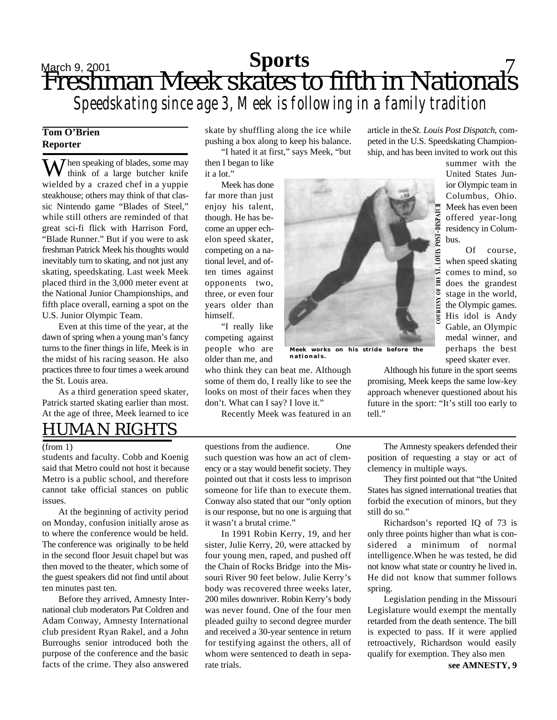# Sports 5 8 2001 Sports 5 2001 Sports 7 Freshman Meek skates to fifth in Nationals *Speedskating since age 3, Meek is following in a family tradition* **Sports**

# **Tom O'Brien Reporter**

**7** hen speaking of blades, some may think of a large butcher knife wielded by a crazed chef in a yuppie steakhouse; others may think of that classic Nintendo game "Blades of Steel," while still others are reminded of that great sci-fi flick with Harrison Ford, "Blade Runner." But if you were to ask freshman Patrick Meek his thoughts would inevitably turn to skating, and not just any skating, speedskating. Last week Meek placed third in the 3,000 meter event at the National Junior Championships, and fifth place overall, earning a spot on the U.S. Junior Olympic Team.

Even at this time of the year, at the dawn of spring when a young man's fancy turns to the finer things in life, Meek is in the midst of his racing season. He also practices three to four times a week around the St. Louis area.

As a third generation speed skater, Patrick started skating earlier than most. At the age of three, Meek learned to ice skate by shuffling along the ice while pushing a box along to keep his balance.

"I hated it at first," says Meek, "but then I began to like it a lot."

Meek has done far more than just enjoy his talent, though. He has become an upper echelon speed skater, competing on a national level, and often times against opponents two, three, or even four years older than himself.

"I really like competing against people who are older than me, and

who think they can beat me. Although some of them do, I really like to see the looks on most of their faces when they don't. What can I say? I love it."

Recently Meek was featured in an

article in the *St. Louis Post Dispatch*, competed in the U.S. Speedskating Championship, and has been invited to work out this

bus.

summer with the United States Junior Olympic team in Columbus, Ohio. Meek has even been offered year-long residency in Colum-

Of course, when speed skating comes to mind, so does the grandest stage in the world, the Olympic games. His idol is Andy Gable, an Olympic medal winner, and perhaps the best speed skater ever.

POST-DISPATCH **LOUIS P**  $\overline{\mathbf{S}}$ Ë  $\ddot{\circ}$ **COURTESY** 

**Meek works on his stride before the nationals.**

Although his future in the sport seems promising, Meek keeps the same low-key approach whenever questioned about his future in the sport: "It's still too early to tell."

# HUMAN RIGHTS

(from 1)

students and faculty. Cobb and Koenig said that Metro could not host it because Metro is a public school, and therefore cannot take official stances on public issues.

At the beginning of activity period on Monday, confusion initially arose as to where the conference would be held. The conference was originally to be held in the second floor Jesuit chapel but was then moved to the theater, which some of the guest speakers did not find until about ten minutes past ten.

Before they arrived, Amnesty International club moderators Pat Coldren and Adam Conway, Amnesty International club president Ryan Rakel, and a John Burroughs senior introduced both the purpose of the conference and the basic facts of the crime. They also answered

questions from the audience. One such question was how an act of clemency or a stay would benefit society. They pointed out that it costs less to imprison someone for life than to execute them. Conway also stated that our "only option is our response, but no one is arguing that it wasn't a brutal crime."

In 1991 Robin Kerry, 19, and her sister, Julie Kerry, 20, were attacked by four young men, raped, and pushed off the Chain of Rocks Bridge into the Missouri River 90 feet below. Julie Kerry's body was recovered three weeks later, 200 miles downriver. Robin Kerry's body was never found. One of the four men pleaded guilty to second degree murder and received a 30-year sentence in return for testifying against the others, all of whom were sentenced to death in separate trials.

The Amnesty speakers defended their position of requesting a stay or act of clemency in multiple ways.

They first pointed out that "the United States has signed international treaties that forbid the execution of minors, but they still do so."

Richardson's reported IQ of 73 is only three points higher than what is considered a minimum of normal intelligence.When he was tested, he did not know what state or country he lived in. He did not know that summer follows spring.

Legislation pending in the Missouri Legislature would exempt the mentally retarded from the death sentence. The bill is expected to pass. If it were applied retroactively, Richardson would easily qualify for exemption. They also men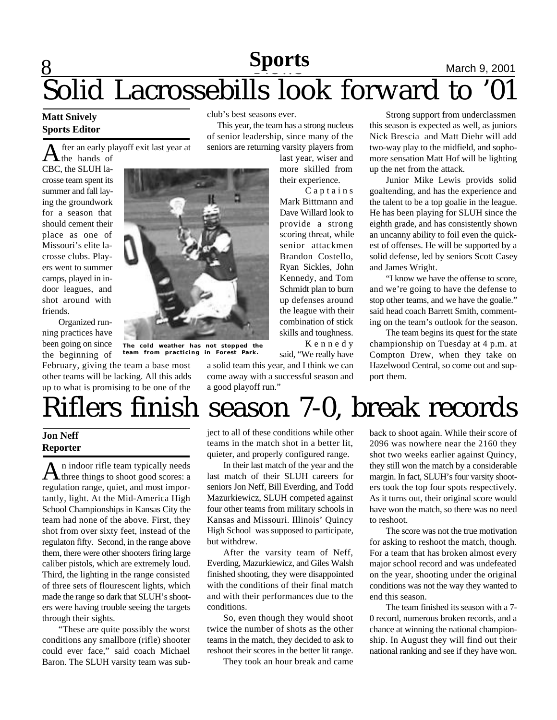# **8 News News March 9, 2001** Solid Lacrossebills look forward to '01 **Sports**

 This year, the team has a strong nucleus of senior leadership, since many of the seniors are returning varsity players from

> last year, wiser and more skilled from their experience.

> C a p t a i n s Mark Bittmann and Dave Willard look to provide a strong scoring threat, while senior attackmen Brandon Costello, Ryan Sickles, John Kennedy, and Tom Schmidt plan to burn up defenses around the league with their combination of stick skills and toughness. K e n n e d y

club's best seasons ever.

#### **Matt Snively Sports Editor**

A fter an early pl<br>CBC, the SLUH lafter an early playoff exit last year at the hands of

crosse team spent its summer and fall laying the groundwork for a season that should cement their place as one of Missouri's elite lacrosse clubs. Players went to summer camps, played in indoor leagues, and shot around with friends.

Organized running practices have been going on since the beginning of

February, giving the team a base most other teams will be lacking. All this adds up to what is promising to be one of the



**The cold weather has not stopped the team from practicing in Forest Park.**

said, "We really have a solid team this year, and I think we can come away with a successful season and a good playoff run."

Strong support from underclassmen this season is expected as well, as juniors Nick Brescia and Matt Diehr will add two-way play to the midfield, and sophomore sensation Matt Hof will be lighting up the net from the attack.

Junior Mike Lewis provids solid goaltending, and has the experience and the talent to be a top goalie in the league. He has been playing for SLUH since the eighth grade, and has consistently shown an uncanny ability to foil even the quickest of offenses. He will be supported by a solid defense, led by seniors Scott Casey and James Wright.

"I know we have the offense to score, and we're going to have the defense to stop other teams, and we have the goalie." said head coach Barrett Smith, commenting on the team's outlook for the season.

The team begins its quest for the state championship on Tuesday at 4 p.m. at Compton Drew, when they take on Hazelwood Central, so come out and support them.

# Riflers finish season 7-0, break records

## **Jon Neff Reporter**

 $A<sub>n</sub>$  indoor rifle team typically needs<br>three things to shoot good scores: a n indoor rifle team typically needs regulation range, quiet, and most importantly, light. At the Mid-America High School Championships in Kansas City the team had none of the above. First, they shot from over sixty feet, instead of the regulaton fifty. Second, in the range above them, there were other shooters firing large caliber pistols, which are extremely loud. Third, the lighting in the range consisted of three sets of flourescent lights, which made the range so dark that SLUH's shooters were having trouble seeing the targets through their sights.

"These are quite possibly the worst conditions any smallbore (rifle) shooter could ever face," said coach Michael Baron. The SLUH varsity team was subject to all of these conditions while other teams in the match shot in a better lit, quieter, and properly configured range.

In their last match of the year and the last match of their SLUH careers for seniors Jon Neff, Bill Everding, and Todd Mazurkiewicz, SLUH competed against four other teams from military schools in Kansas and Missouri. Illinois' Quincy High School was supposed to participate, but withdrew.

After the varsity team of Neff, Everding, Mazurkiewicz, and Giles Walsh finished shooting, they were disappointed with the conditions of their final match and with their performances due to the conditions.

So, even though they would shoot twice the number of shots as the other teams in the match, they decided to ask to reshoot their scores in the better lit range.

They took an hour break and came

back to shoot again. While their score of 2096 was nowhere near the 2160 they shot two weeks earlier against Quincy, they still won the match by a considerable margin. In fact, SLUH's four varsity shooters took the top four spots respectively. As it turns out, their original score would have won the match, so there was no need to reshoot.

The score was not the true motivation for asking to reshoot the match, though. For a team that has broken almost every major school record and was undefeated on the year, shooting under the original conditions was not the way they wanted to end this season.

The team finished its season with a 7- 0 record, numerous broken records, and a chance at winning the national championship. In August they will find out their national ranking and see if they have won.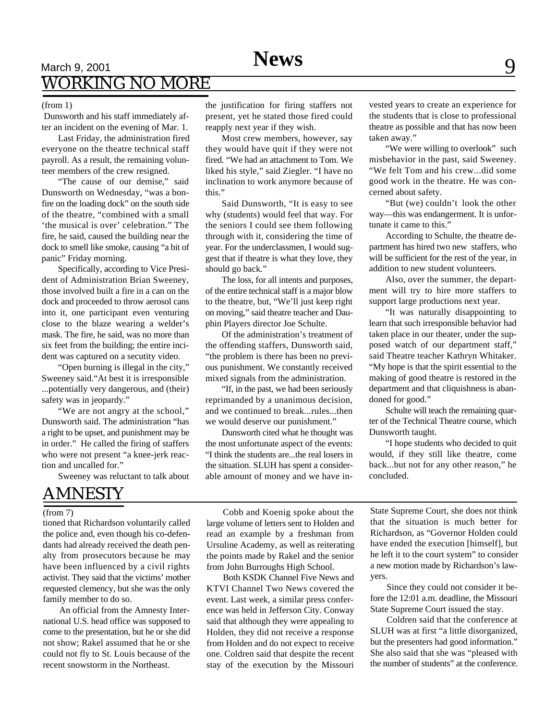# $S_{\text{Harch 9, 2001}} \longrightarrow \text{News}$ WORKING NO MORE

#### (from 1)

 Dunsworth and his staff immediately after an incident on the evening of Mar. 1.

Last Friday, the administration fired everyone on the theatre technical staff payroll. As a result, the remaining volunteer members of the crew resigned.

"The cause of our demise," said Dunsworth on Wednesday, "was a bonfire on the loading dock" on the south side of the theatre, "combined with a small 'the musical is over' celebration." The fire, he said, caused the building near the dock to smell like smoke, causing "a bit of panic" Friday morning.

Specifically, according to Vice President of Administration Brian Sweeney, those involved built a fire in a can on the dock and proceeded to throw aerosol cans into it, one participant even venturing close to the blaze wearing a welder's mask. The fire, he said, was no more than six feet from the building; the entire incident was captured on a secutity video.

"Open burning is illegal in the city," Sweeney said."At best it is irresponsible ...potentially very dangerous, and (their) safety was in jeopardy."

"We are not angry at the school," Dunsworth said. The administration "has a right to be upset, and punishment may be in order." He called the firing of staffers who were not present "a knee-jerk reaction and uncalled for."

Sweeney was reluctant to talk about

# AMNESTY

#### (from 7)

tioned that Richardson voluntarily called the police and, even though his co-defendants had already received the death penalty from prosecutors because he may have been influenced by a civil rights activist. They said that the victims' mother requested clemency, but she was the only family member to do so.

An official from the Amnesty International U.S. head office was supposed to come to the presentation, but he or she did not show; Rakel assumed that he or she could not fly to St. Louis because of the recent snowstorm in the Northeast.

the justification for firing staffers not present, yet he stated those fired could reapply next year if they wish.

Most crew members, however, say they would have quit if they were not fired. "We had an attachment to Tom. We liked his style," said Ziegler. "I have no inclination to work anymore because of this."

Said Dunsworth, "It is easy to see why (students) would feel that way. For the seniors I could see them following through with it, considering the time of year. For the underclassmen, I would suggest that if theatre is what they love, they should go back."

The loss, for all intents and purposes, of the entire technical staff is a major blow to the theatre, but, "We'll just keep right on moving," said theatre teacher and Dauphin Players director Joe Schulte.

Of the administration's treatment of the offending staffers, Dunsworth said, "the problem is there has been no previous punishment. We constantly received mixed signals from the administration.

"If, in the past, we had been seriously reprimanded by a unanimous decision, and we continued to break...rules...then we would deserve our punishment."

Dunsworth cited what he thought was the most unfortunate aspect of the events: "I think the students are...the real losers in the situation. SLUH has spent a considerable amount of money and we have invested years to create an experience for the students that is close to professional theatre as possible and that has now been taken away."

"We were willing to overlook" such misbehavior in the past, said Sweeney. "We felt Tom and his crew...did some good work in the theatre. He was concerned about safety.

"But (we) couldn't look the other way—this was endangerment. It is unfortunate it came to this."

According to Schulte, the theatre department has hired two new staffers, who will be sufficient for the rest of the year, in addition to new student volunteers.

Also, over the summer, the department will try to hire more staffers to support large productions next year.

"It was naturally disappointing to learn that such irresponsible behavior had taken place in our theater, under the supposed watch of our department staff," said Theatre teacher Kathryn Whitaker. "My hope is that the spirit essential to the making of good theatre is restored in the department and that cliquishness is abandoned for good."

Schulte will teach the remaining quarter of the Technical Theatre course, which Dunsworth taught.

"I hope students who decided to quit would, if they still like theatre, come back...but not for any other reason," he concluded.

Cobb and Koenig spoke about the large volume of letters sent to Holden and read an example by a freshman from Ursuline Academy, as well as reiterating the points made by Rakel and the senior from John Burroughs High School.

Both KSDK Channel Five News and KTVI Channel Two News covered the event. Last week, a similar press conference was held in Jefferson City. Conway said that although they were appealing to Holden, they did not receive a response from Holden and do not expect to receive one. Coldren said that despite the recent stay of the execution by the Missouri

State Supreme Court, she does not think that the situation is much better for Richardson, as "Governor Holden could have ended the execution [himself], but he left it to the court system" to consider a new motion made by Richardson's lawyers.

Since they could not consider it before the 12:01 a.m. deadline, the Missouri State Supreme Court issued the stay.

Coldren said that the conference at SLUH was at first "a little disorganized, but the presenters had good information." She also said that she was "pleased with the number of students" at the conference.